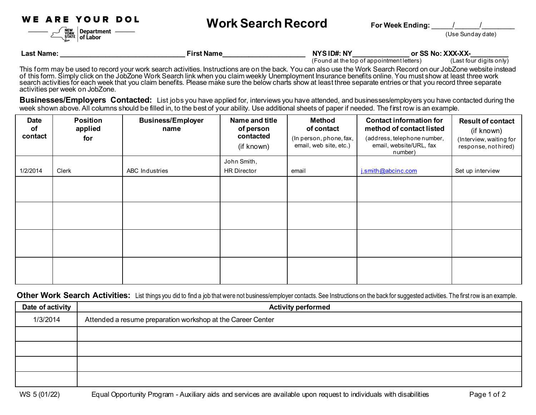WE ARE YOUR DOL

NEW<br>YORK<br>STATE

Department -

 $\vert$  of Labor



(Use Sunday date)

| ∵Name:<br>_ast | First Name | NYSID#: NY | <b>VVV VV</b><br><br>or SS<br>. Net<br>^^^`^^` |
|----------------|------------|------------|------------------------------------------------|
|                |            |            |                                                |

(Found at the top of appointment letters) (Last four digits only)

This form may be used to record your work search activities. Instructions are on the back. You can also use the Work Search Record on our JobZone website instead of this form. Simply click on the JobZone Work Search link when you claim weekly Unemployment Insurance benefits online. You must show at least three work search activities for each week that you claim benefits. Please make sure the below charts show at least three separate entries or that you record three separate activities per week on JobZone.

**Businesses/Employers Contacted:** List jobs you have applied for, interviews you have attended, and businesses/employers you have contacted during the week shown above. All columns should be filled in, to the best of your ability. Use additional sheets of paper if needed. The first row is an example.

| <b>Date</b><br>οf<br>contact | <b>Position</b><br>applied<br>for | <b>Business/Employer</b><br>name | Name and title<br>of person<br>contacted<br>(if known) | <b>Method</b><br>of contact<br>(In person, phone, fax,<br>email, web site, etc.) | <b>Contact information for</b><br>method of contact listed<br>(address, telephone number,<br>email, website/URL, fax<br>number) | <b>Result of contact</b><br>(if known)<br>(Interview, waiting for<br>response, nothired) |
|------------------------------|-----------------------------------|----------------------------------|--------------------------------------------------------|----------------------------------------------------------------------------------|---------------------------------------------------------------------------------------------------------------------------------|------------------------------------------------------------------------------------------|
| 1/2/2014                     | Clerk                             | ABC Industries                   | John Smith,<br><b>HR Director</b>                      | email                                                                            | i.smith@abcinc.com                                                                                                              | Set up interview                                                                         |
|                              |                                   |                                  |                                                        |                                                                                  |                                                                                                                                 |                                                                                          |
|                              |                                   |                                  |                                                        |                                                                                  |                                                                                                                                 |                                                                                          |
|                              |                                   |                                  |                                                        |                                                                                  |                                                                                                                                 |                                                                                          |
|                              |                                   |                                  |                                                        |                                                                                  |                                                                                                                                 |                                                                                          |

Other Work Search Activities: List things you did to find a job that were not business/employer contacts. See Instructions on the back for suggested activities. The first row is an example.

| Date of activity | <b>Activity performed</b>                                   |  |  |
|------------------|-------------------------------------------------------------|--|--|
| 1/3/2014         | Attended a resume preparation workshop at the Career Center |  |  |
|                  |                                                             |  |  |
|                  |                                                             |  |  |
|                  |                                                             |  |  |
|                  |                                                             |  |  |